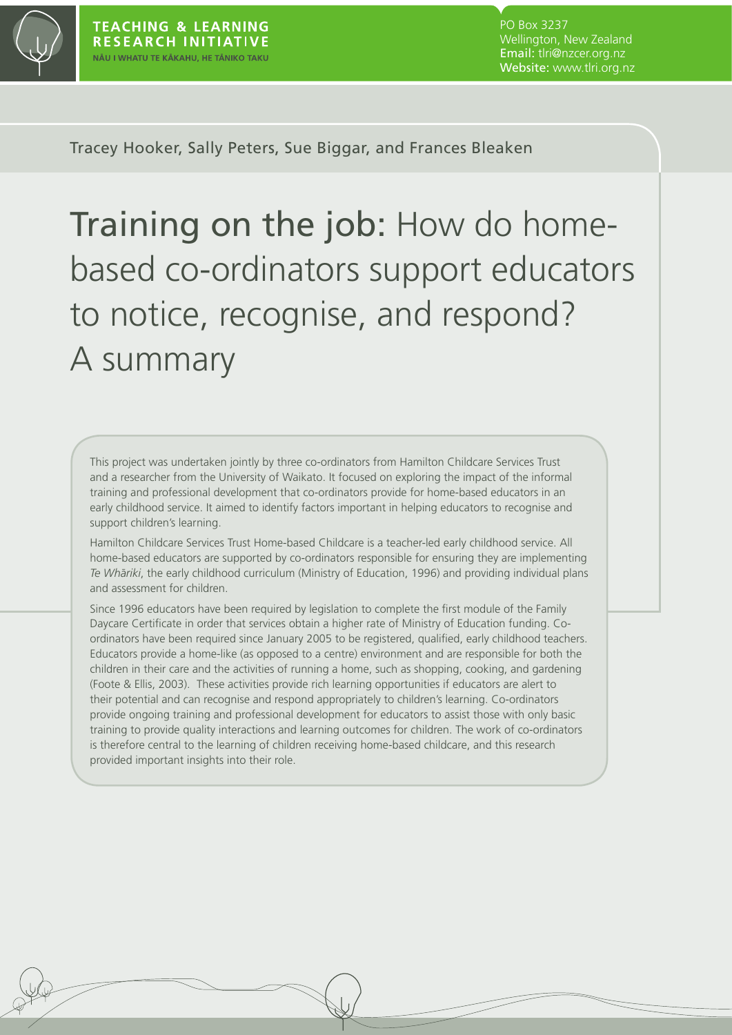

PO Box 3237 Wellington, New Zealand Email: tlri@nzcer.org.nz Website: www.tlri.org.nz

Tracey Hooker, Sally Peters, Sue Biggar, and Frances Bleaken

Training on the job: How do homebased co-ordinators support educators to notice, recognise, and respond? A summary

This project was undertaken jointly by three co-ordinators from Hamilton Childcare Services Trust and a researcher from the University of Waikato. It focused on exploring the impact of the informal training and professional development that co-ordinators provide for home-based educators in an early childhood service. It aimed to identify factors important in helping educators to recognise and support children's learning.

Hamilton Childcare Services Trust Home-based Childcare is a teacher-led early childhood service. All home-based educators are supported by co-ordinators responsible for ensuring they are implementing *Te Wha¯ riki*, the early childhood curriculum (Ministry of Education, 1996) and providing individual plans and assessment for children.

Since 1996 educators have been required by legislation to complete the first module of the Family Daycare Certificate in order that services obtain a higher rate of Ministry of Education funding. Coordinators have been required since January 2005 to be registered, qualified, early childhood teachers. Educators provide a home-like (as opposed to a centre) environment and are responsible for both the children in their care and the activities of running a home, such as shopping, cooking, and gardening (Foote & Ellis, 2003). These activities provide rich learning opportunities if educators are alert to their potential and can recognise and respond appropriately to children's learning. Co-ordinators provide ongoing training and professional development for educators to assist those with only basic training to provide quality interactions and learning outcomes for children. The work of co-ordinators is therefore central to the learning of children receiving home-based childcare, and this research provided important insights into their role.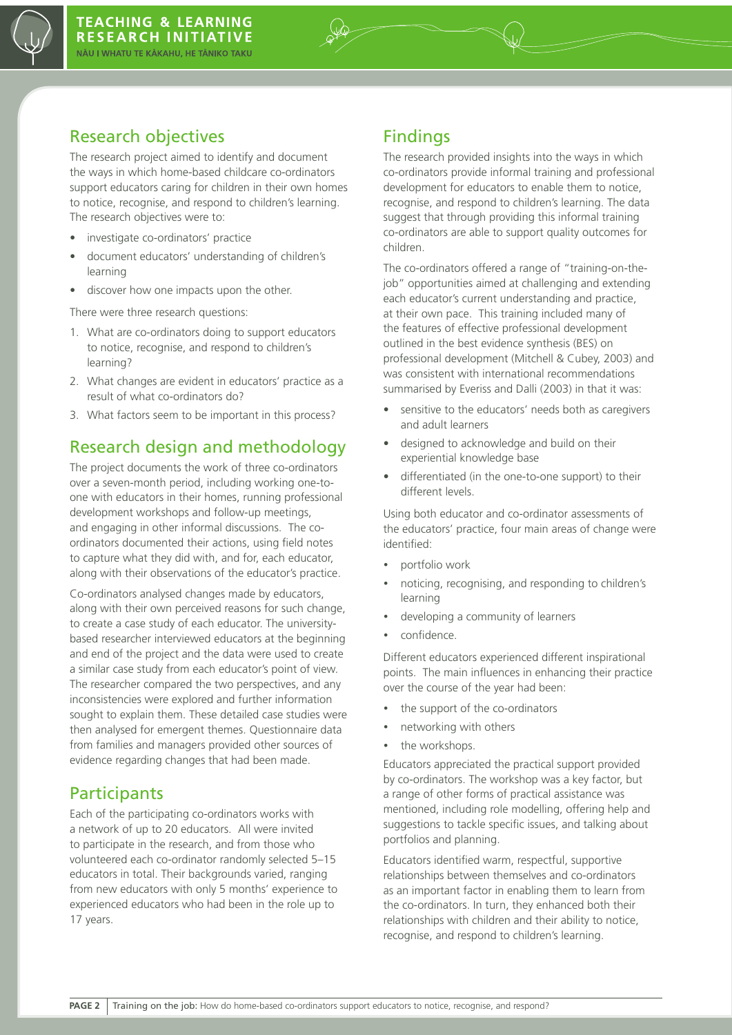

### Research objectives

The research project aimed to identify and document the ways in which home-based childcare co-ordinators support educators caring for children in their own homes to notice, recognise, and respond to children's learning. The research objectives were to:

- • investigate co-ordinators' practice
- • document educators' understanding of children's learning
- discover how one impacts upon the other.

There were three research questions:

- 1. What are co-ordinators doing to support educators to notice, recognise, and respond to children's learning?
- 2. What changes are evident in educators' practice as a result of what co-ordinators do?
- 3. What factors seem to be important in this process?

# Research design and methodology

The project documents the work of three co-ordinators over a seven-month period, including working one-toone with educators in their homes, running professional development workshops and follow-up meetings, and engaging in other informal discussions. The coordinators documented their actions, using field notes to capture what they did with, and for, each educator, along with their observations of the educator's practice.

Co-ordinators analysed changes made by educators, along with their own perceived reasons for such change, to create a case study of each educator. The universitybased researcher interviewed educators at the beginning and end of the project and the data were used to create a similar case study from each educator's point of view. The researcher compared the two perspectives, and any inconsistencies were explored and further information sought to explain them. These detailed case studies were then analysed for emergent themes. Questionnaire data from families and managers provided other sources of evidence regarding changes that had been made.

#### **Participants**

Each of the participating co-ordinators works with a network of up to 20 educators. All were invited to participate in the research, and from those who volunteered each co-ordinator randomly selected 5–15 educators in total. Their backgrounds varied, ranging from new educators with only 5 months' experience to experienced educators who had been in the role up to 17 years.

## Findings

The research provided insights into the ways in which co-ordinators provide informal training and professional development for educators to enable them to notice, recognise, and respond to children's learning. The data suggest that through providing this informal training co-ordinators are able to support quality outcomes for children.

The co-ordinators offered a range of "training-on-thejob" opportunities aimed at challenging and extending each educator's current understanding and practice, at their own pace. This training included many of the features of effective professional development outlined in the best evidence synthesis (BES) on professional development (Mitchell & Cubey, 2003) and was consistent with international recommendations summarised by Everiss and Dalli (2003) in that it was:

- sensitive to the educators' needs both as caregivers and adult learners
- designed to acknowledge and build on their experiential knowledge base
- differentiated (in the one-to-one support) to their different levels.

Using both educator and co-ordinator assessments of the educators' practice, four main areas of change were identified:

- portfolio work
- noticing, recognising, and responding to children's learning
- developing a community of learners
- confidence.

Different educators experienced different inspirational points. The main influences in enhancing their practice over the course of the year had been:

- the support of the co-ordinators
- networking with others
- the workshops.

Educators appreciated the practical support provided by co-ordinators. The workshop was a key factor, but a range of other forms of practical assistance was mentioned, including role modelling, offering help and suggestions to tackle specific issues, and talking about portfolios and planning.

Educators identified warm, respectful, supportive relationships between themselves and co-ordinators as an important factor in enabling them to learn from the co-ordinators. In turn, they enhanced both their relationships with children and their ability to notice, recognise, and respond to children's learning.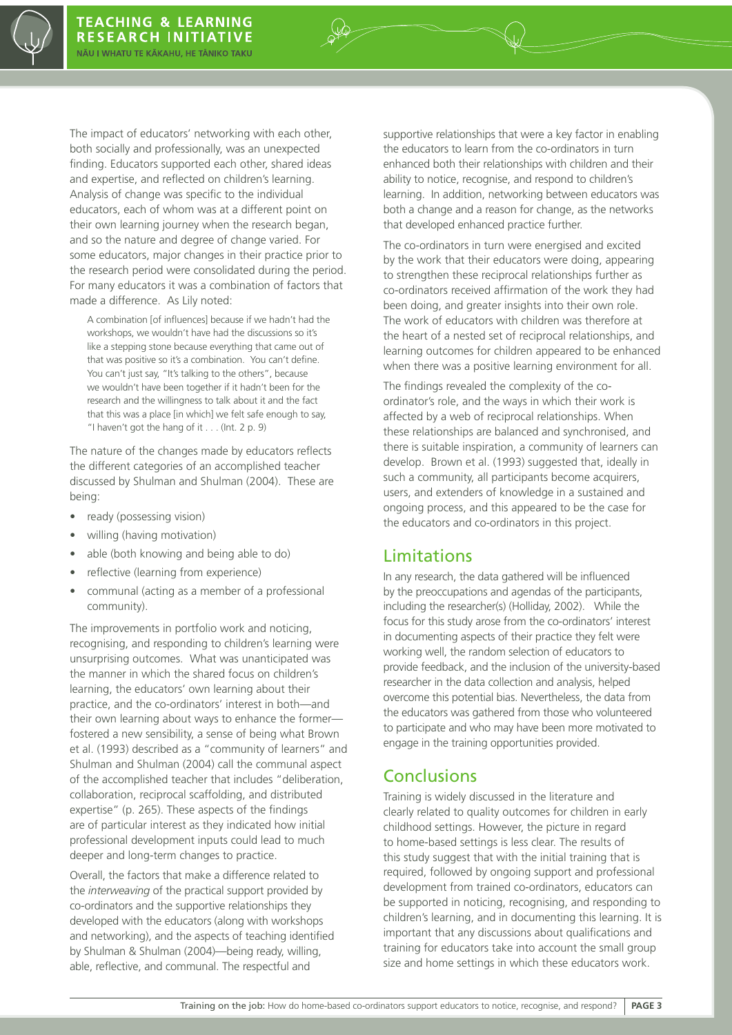The impact of educators' networking with each other, both socially and professionally, was an unexpected finding. Educators supported each other, shared ideas and expertise, and reflected on children's learning. Analysis of change was specific to the individual educators, each of whom was at a different point on their own learning journey when the research began, and so the nature and degree of change varied. For some educators, major changes in their practice prior to the research period were consolidated during the period. For many educators it was a combination of factors that made a difference. As Lily noted:

A combination [of influences] because if we hadn't had the workshops, we wouldn't have had the discussions so it's like a stepping stone because everything that came out of that was positive so it's a combination. You can't define. You can't just say, "It's talking to the others", because we wouldn't have been together if it hadn't been for the research and the willingness to talk about it and the fact that this was a place [in which] we felt safe enough to say, "I haven't got the hang of it  $\dots$  (Int. 2 p. 9)

The nature of the changes made by educators reflects the different categories of an accomplished teacher discussed by Shulman and Shulman (2004). These are being:

- ready (possessing vision)
- willing (having motivation)
- able (both knowing and being able to do)
- reflective (learning from experience)
- communal (acting as a member of a professional community).

The improvements in portfolio work and noticing, recognising, and responding to children's learning were unsurprising outcomes. What was unanticipated was the manner in which the shared focus on children's learning, the educators' own learning about their practice, and the co-ordinators' interest in both—and their own learning about ways to enhance the former fostered a new sensibility, a sense of being what Brown et al. (1993) described as a "community of learners" and Shulman and Shulman (2004) call the communal aspect of the accomplished teacher that includes "deliberation, collaboration, reciprocal scaffolding, and distributed expertise" (p. 265). These aspects of the findings are of particular interest as they indicated how initial professional development inputs could lead to much deeper and long-term changes to practice.

Overall, the factors that make a difference related to the *interweaving* of the practical support provided by co-ordinators and the supportive relationships they developed with the educators (along with workshops and networking), and the aspects of teaching identified by Shulman & Shulman (2004)—being ready, willing, able, reflective, and communal. The respectful and

supportive relationships that were a key factor in enabling the educators to learn from the co-ordinators in turn enhanced both their relationships with children and their ability to notice, recognise, and respond to children's learning. In addition, networking between educators was both a change and a reason for change, as the networks that developed enhanced practice further.

The co-ordinators in turn were energised and excited by the work that their educators were doing, appearing to strengthen these reciprocal relationships further as co-ordinators received affirmation of the work they had been doing, and greater insights into their own role. The work of educators with children was therefore at the heart of a nested set of reciprocal relationships, and learning outcomes for children appeared to be enhanced when there was a positive learning environment for all.

The findings revealed the complexity of the coordinator's role, and the ways in which their work is affected by a web of reciprocal relationships. When these relationships are balanced and synchronised, and there is suitable inspiration, a community of learners can develop. Brown et al. (1993) suggested that, ideally in such a community, all participants become acquirers, users, and extenders of knowledge in a sustained and ongoing process, and this appeared to be the case for the educators and co-ordinators in this project.

#### Limitations

In any research, the data gathered will be influenced by the preoccupations and agendas of the participants, including the researcher(s) (Holliday, 2002). While the focus for this study arose from the co-ordinators' interest in documenting aspects of their practice they felt were working well, the random selection of educators to provide feedback, and the inclusion of the university-based researcher in the data collection and analysis, helped overcome this potential bias. Nevertheless, the data from the educators was gathered from those who volunteered to participate and who may have been more motivated to engage in the training opportunities provided.

#### Conclusions

Training is widely discussed in the literature and clearly related to quality outcomes for children in early childhood settings. However, the picture in regard to home-based settings is less clear. The results of this study suggest that with the initial training that is required, followed by ongoing support and professional development from trained co-ordinators, educators can be supported in noticing, recognising, and responding to children's learning, and in documenting this learning. It is important that any discussions about qualifications and training for educators take into account the small group size and home settings in which these educators work.